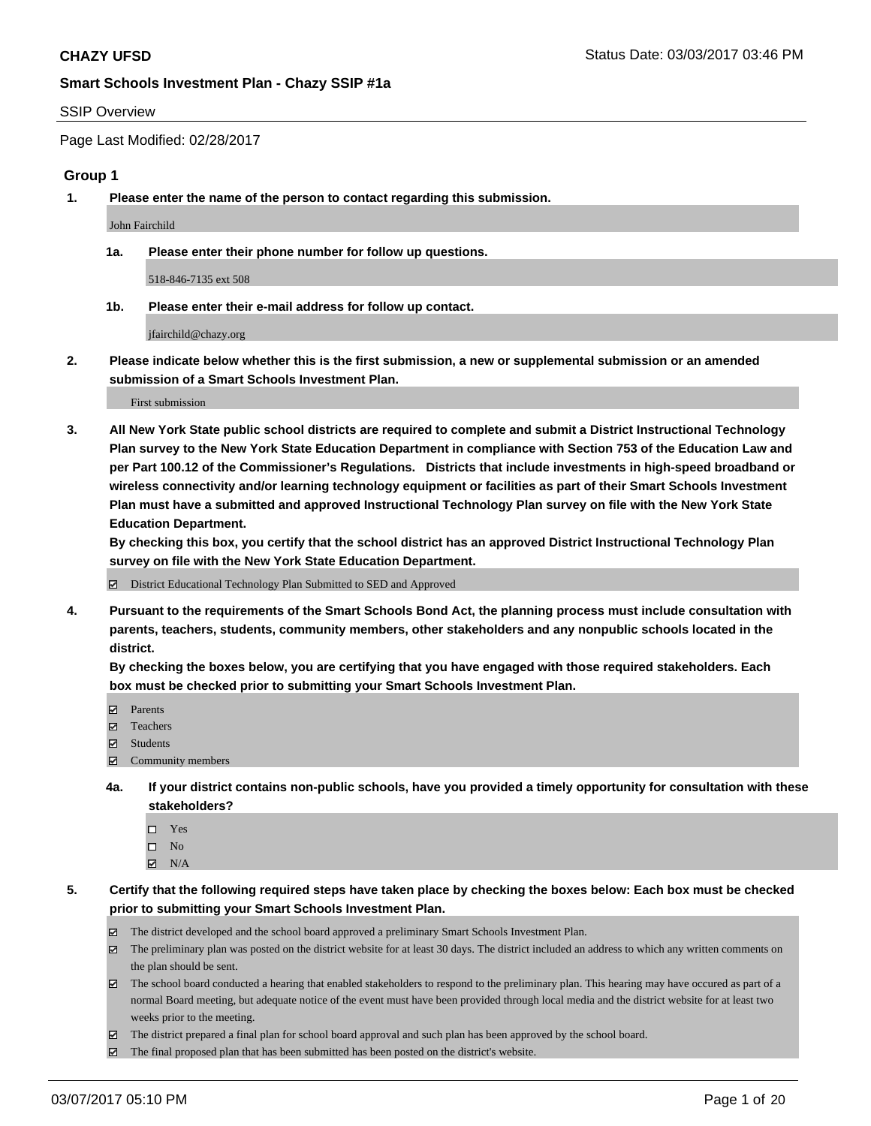## SSIP Overview

Page Last Modified: 02/28/2017

#### **Group 1**

**1. Please enter the name of the person to contact regarding this submission.**

John Fairchild

**1a. Please enter their phone number for follow up questions.**

518-846-7135 ext 508

**1b. Please enter their e-mail address for follow up contact.**

jfairchild@chazy.org

**2. Please indicate below whether this is the first submission, a new or supplemental submission or an amended submission of a Smart Schools Investment Plan.**

First submission

**3. All New York State public school districts are required to complete and submit a District Instructional Technology Plan survey to the New York State Education Department in compliance with Section 753 of the Education Law and per Part 100.12 of the Commissioner's Regulations. Districts that include investments in high-speed broadband or wireless connectivity and/or learning technology equipment or facilities as part of their Smart Schools Investment Plan must have a submitted and approved Instructional Technology Plan survey on file with the New York State Education Department.** 

**By checking this box, you certify that the school district has an approved District Instructional Technology Plan survey on file with the New York State Education Department.**

District Educational Technology Plan Submitted to SED and Approved

**4. Pursuant to the requirements of the Smart Schools Bond Act, the planning process must include consultation with parents, teachers, students, community members, other stakeholders and any nonpublic schools located in the district.** 

**By checking the boxes below, you are certifying that you have engaged with those required stakeholders. Each box must be checked prior to submitting your Smart Schools Investment Plan.**

- **マ** Parents
- □ Teachers
- Students
- $\Xi$  Community members
- **4a. If your district contains non-public schools, have you provided a timely opportunity for consultation with these stakeholders?**
	- Yes
	- $\hfill \square$  No
	- $\boxtimes$  N/A
- **5. Certify that the following required steps have taken place by checking the boxes below: Each box must be checked prior to submitting your Smart Schools Investment Plan.**
	- The district developed and the school board approved a preliminary Smart Schools Investment Plan.
	- $\boxtimes$  The preliminary plan was posted on the district website for at least 30 days. The district included an address to which any written comments on the plan should be sent.
	- $\boxtimes$  The school board conducted a hearing that enabled stakeholders to respond to the preliminary plan. This hearing may have occured as part of a normal Board meeting, but adequate notice of the event must have been provided through local media and the district website for at least two weeks prior to the meeting.
	- The district prepared a final plan for school board approval and such plan has been approved by the school board.
	- $\boxtimes$  The final proposed plan that has been submitted has been posted on the district's website.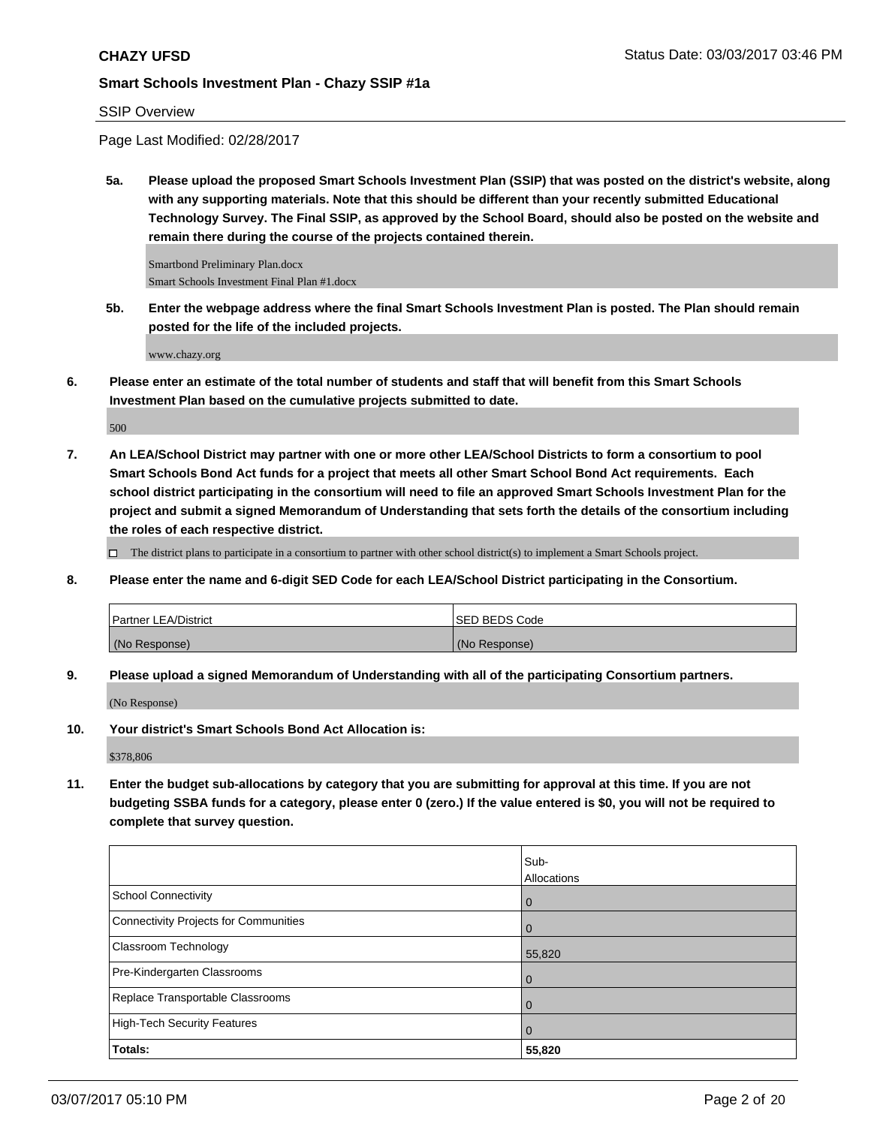# SSIP Overview

Page Last Modified: 02/28/2017

**5a. Please upload the proposed Smart Schools Investment Plan (SSIP) that was posted on the district's website, along with any supporting materials. Note that this should be different than your recently submitted Educational Technology Survey. The Final SSIP, as approved by the School Board, should also be posted on the website and remain there during the course of the projects contained therein.**

Smartbond Preliminary Plan.docx Smart Schools Investment Final Plan #1.docx

**5b. Enter the webpage address where the final Smart Schools Investment Plan is posted. The Plan should remain posted for the life of the included projects.**

www.chazy.org

**6. Please enter an estimate of the total number of students and staff that will benefit from this Smart Schools Investment Plan based on the cumulative projects submitted to date.**

500

**7. An LEA/School District may partner with one or more other LEA/School Districts to form a consortium to pool Smart Schools Bond Act funds for a project that meets all other Smart School Bond Act requirements. Each school district participating in the consortium will need to file an approved Smart Schools Investment Plan for the project and submit a signed Memorandum of Understanding that sets forth the details of the consortium including the roles of each respective district.**

 $\Box$  The district plans to participate in a consortium to partner with other school district(s) to implement a Smart Schools project.

**8. Please enter the name and 6-digit SED Code for each LEA/School District participating in the Consortium.**

| <b>Partner LEA/District</b> | ISED BEDS Code |
|-----------------------------|----------------|
| (No Response)               | (No Response)  |

**9. Please upload a signed Memorandum of Understanding with all of the participating Consortium partners.**

(No Response)

**10. Your district's Smart Schools Bond Act Allocation is:**

\$378,806

**11. Enter the budget sub-allocations by category that you are submitting for approval at this time. If you are not budgeting SSBA funds for a category, please enter 0 (zero.) If the value entered is \$0, you will not be required to complete that survey question.**

|                                       | Sub-           |
|---------------------------------------|----------------|
|                                       | Allocations    |
| <b>School Connectivity</b>            | l 0            |
| Connectivity Projects for Communities | $\overline{0}$ |
| <b>Classroom Technology</b>           | 55,820         |
| Pre-Kindergarten Classrooms           | l O            |
| Replace Transportable Classrooms      | $\Omega$       |
| High-Tech Security Features           | $\overline{0}$ |
| Totals:                               | 55,820         |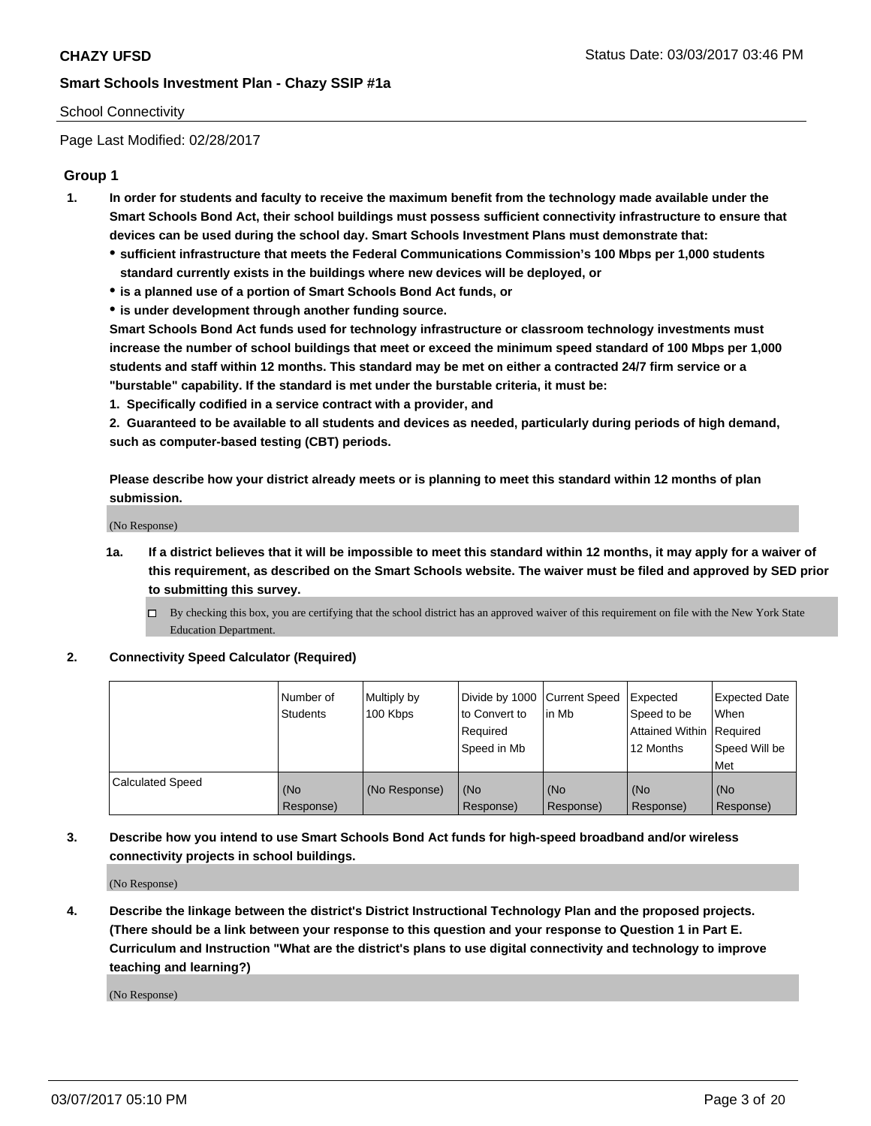# School Connectivity

Page Last Modified: 02/28/2017

# **Group 1**

- **1. In order for students and faculty to receive the maximum benefit from the technology made available under the Smart Schools Bond Act, their school buildings must possess sufficient connectivity infrastructure to ensure that devices can be used during the school day. Smart Schools Investment Plans must demonstrate that:**
	- **sufficient infrastructure that meets the Federal Communications Commission's 100 Mbps per 1,000 students standard currently exists in the buildings where new devices will be deployed, or**
	- **is a planned use of a portion of Smart Schools Bond Act funds, or**
	- **is under development through another funding source.**

**Smart Schools Bond Act funds used for technology infrastructure or classroom technology investments must increase the number of school buildings that meet or exceed the minimum speed standard of 100 Mbps per 1,000 students and staff within 12 months. This standard may be met on either a contracted 24/7 firm service or a "burstable" capability. If the standard is met under the burstable criteria, it must be:**

**1. Specifically codified in a service contract with a provider, and**

**2. Guaranteed to be available to all students and devices as needed, particularly during periods of high demand, such as computer-based testing (CBT) periods.**

**Please describe how your district already meets or is planning to meet this standard within 12 months of plan submission.**

(No Response)

- **1a. If a district believes that it will be impossible to meet this standard within 12 months, it may apply for a waiver of this requirement, as described on the Smart Schools website. The waiver must be filed and approved by SED prior to submitting this survey.**
	- By checking this box, you are certifying that the school district has an approved waiver of this requirement on file with the New York State Education Department.

#### **2. Connectivity Speed Calculator (Required)**

|                         | l Number of<br><b>Students</b> | Multiply by<br>100 Kbps | Divide by 1000   Current Speed<br>to Convert to<br>Required<br>l Speed in Mb | in Mb            | Expected<br>Speed to be<br>Attained Within Required<br>12 Months | <b>Expected Date</b><br>When<br>Speed Will be<br><b>Met</b> |
|-------------------------|--------------------------------|-------------------------|------------------------------------------------------------------------------|------------------|------------------------------------------------------------------|-------------------------------------------------------------|
| <b>Calculated Speed</b> | (No<br>Response)               | (No Response)           | (No<br>Response)                                                             | (No<br>Response) | (No<br>Response)                                                 | l (No<br>Response)                                          |

# **3. Describe how you intend to use Smart Schools Bond Act funds for high-speed broadband and/or wireless connectivity projects in school buildings.**

(No Response)

**4. Describe the linkage between the district's District Instructional Technology Plan and the proposed projects. (There should be a link between your response to this question and your response to Question 1 in Part E. Curriculum and Instruction "What are the district's plans to use digital connectivity and technology to improve teaching and learning?)**

(No Response)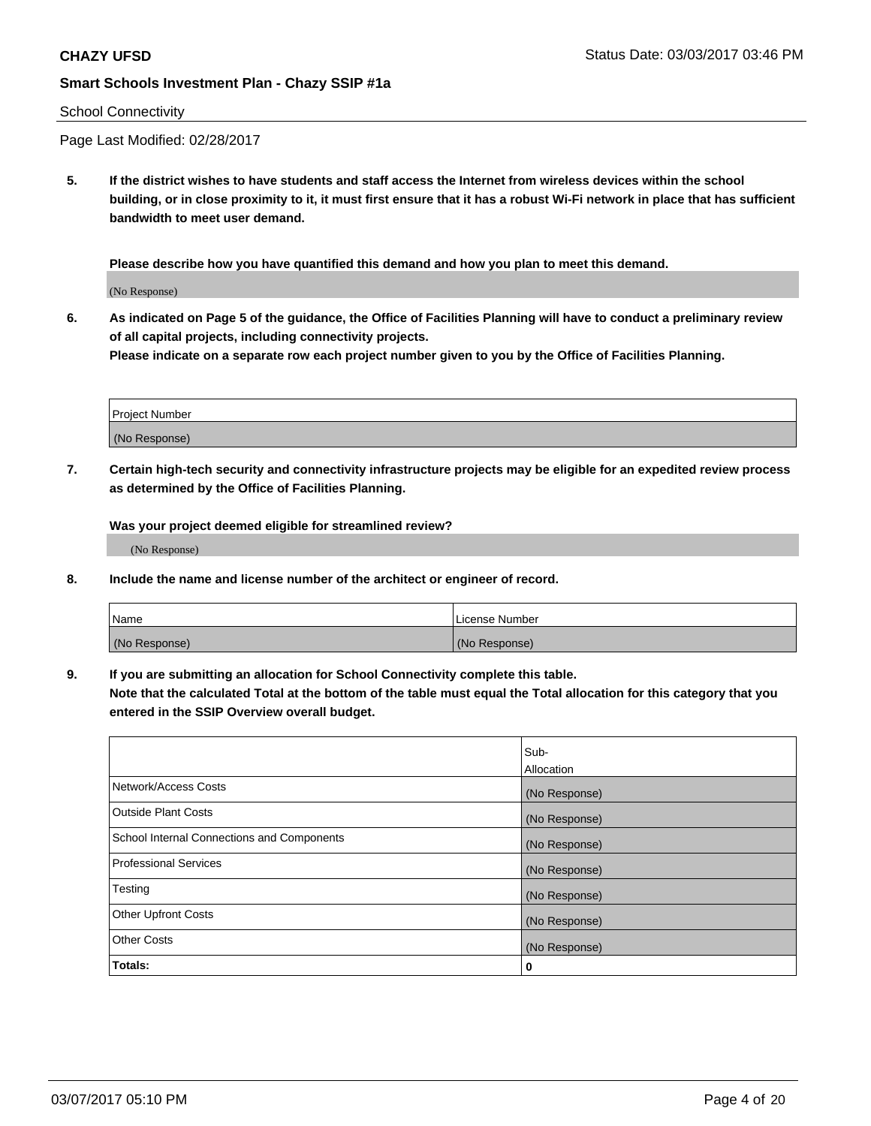## School Connectivity

Page Last Modified: 02/28/2017

**5. If the district wishes to have students and staff access the Internet from wireless devices within the school building, or in close proximity to it, it must first ensure that it has a robust Wi-Fi network in place that has sufficient bandwidth to meet user demand.**

**Please describe how you have quantified this demand and how you plan to meet this demand.**

(No Response)

**6. As indicated on Page 5 of the guidance, the Office of Facilities Planning will have to conduct a preliminary review of all capital projects, including connectivity projects.**

**Please indicate on a separate row each project number given to you by the Office of Facilities Planning.**

| Project Number |  |
|----------------|--|
|                |  |
| (No Response)  |  |

**7. Certain high-tech security and connectivity infrastructure projects may be eligible for an expedited review process as determined by the Office of Facilities Planning.**

**Was your project deemed eligible for streamlined review?**

(No Response)

**8. Include the name and license number of the architect or engineer of record.**

| Name          | License Number |
|---------------|----------------|
| (No Response) | (No Response)  |

**9. If you are submitting an allocation for School Connectivity complete this table.**

**Note that the calculated Total at the bottom of the table must equal the Total allocation for this category that you entered in the SSIP Overview overall budget.** 

|                                            | Sub-          |
|--------------------------------------------|---------------|
|                                            | Allocation    |
| Network/Access Costs                       | (No Response) |
| Outside Plant Costs                        | (No Response) |
| School Internal Connections and Components | (No Response) |
| <b>Professional Services</b>               | (No Response) |
| Testing                                    | (No Response) |
| <b>Other Upfront Costs</b>                 | (No Response) |
| <b>Other Costs</b>                         | (No Response) |
| Totals:                                    | 0             |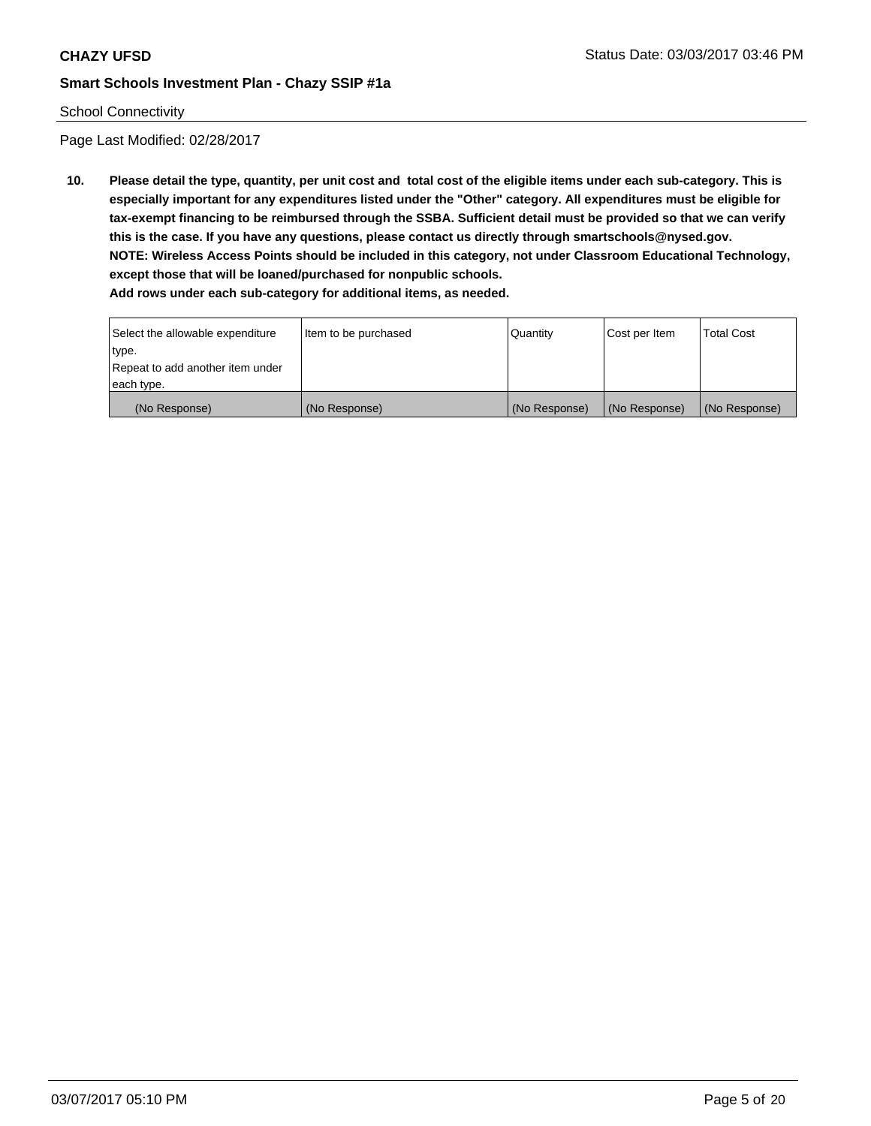# School Connectivity

Page Last Modified: 02/28/2017

**10. Please detail the type, quantity, per unit cost and total cost of the eligible items under each sub-category. This is especially important for any expenditures listed under the "Other" category. All expenditures must be eligible for tax-exempt financing to be reimbursed through the SSBA. Sufficient detail must be provided so that we can verify this is the case. If you have any questions, please contact us directly through smartschools@nysed.gov. NOTE: Wireless Access Points should be included in this category, not under Classroom Educational Technology, except those that will be loaned/purchased for nonpublic schools.**

| Select the allowable expenditure | Item to be purchased | Quantity      | Cost per Item | Total Cost    |
|----------------------------------|----------------------|---------------|---------------|---------------|
| type.                            |                      |               |               |               |
| Repeat to add another item under |                      |               |               |               |
| each type.                       |                      |               |               |               |
| (No Response)                    | (No Response)        | (No Response) | (No Response) | (No Response) |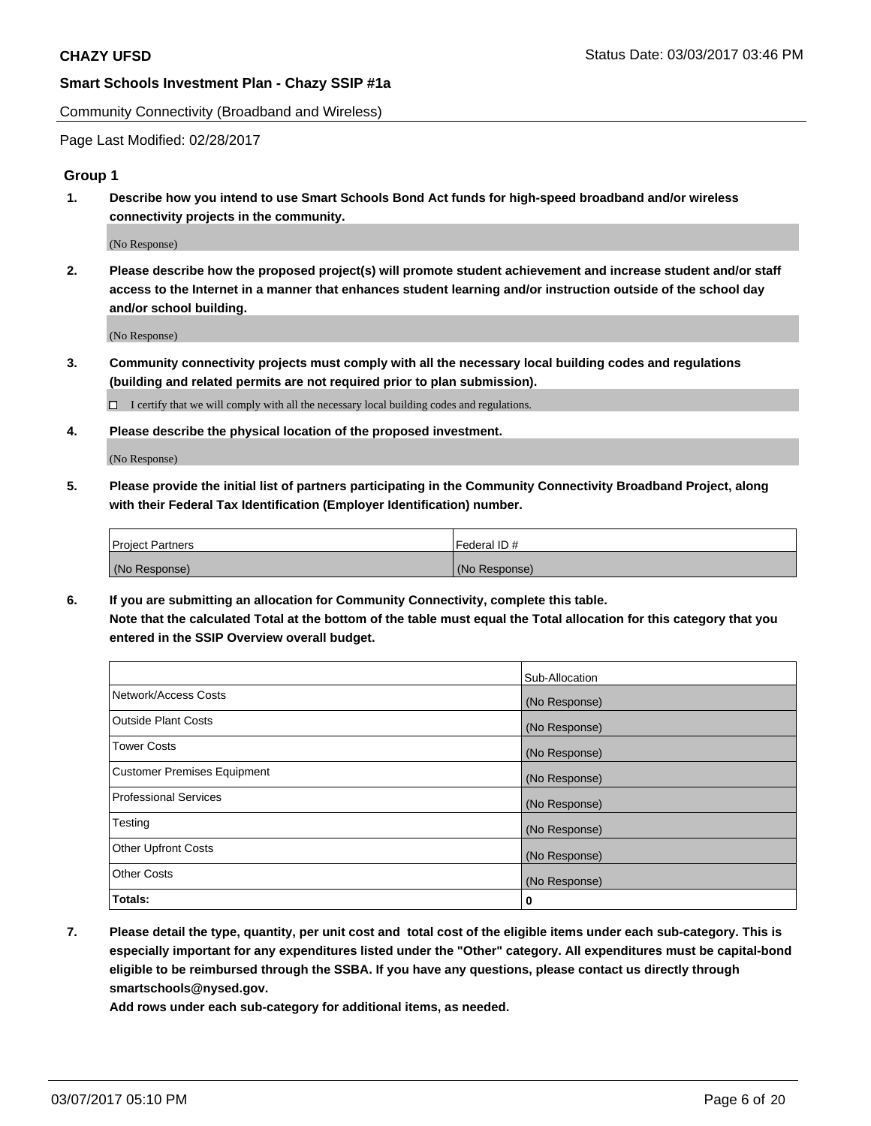Community Connectivity (Broadband and Wireless)

Page Last Modified: 02/28/2017

# **Group 1**

**1. Describe how you intend to use Smart Schools Bond Act funds for high-speed broadband and/or wireless connectivity projects in the community.**

(No Response)

**2. Please describe how the proposed project(s) will promote student achievement and increase student and/or staff access to the Internet in a manner that enhances student learning and/or instruction outside of the school day and/or school building.**

(No Response)

**3. Community connectivity projects must comply with all the necessary local building codes and regulations (building and related permits are not required prior to plan submission).**

 $\Box$  I certify that we will comply with all the necessary local building codes and regulations.

**4. Please describe the physical location of the proposed investment.**

(No Response)

**5. Please provide the initial list of partners participating in the Community Connectivity Broadband Project, along with their Federal Tax Identification (Employer Identification) number.**

| <b>Project Partners</b> | Federal ID#     |
|-------------------------|-----------------|
| (No Response)           | l (No Response) |

**6. If you are submitting an allocation for Community Connectivity, complete this table. Note that the calculated Total at the bottom of the table must equal the Total allocation for this category that you entered in the SSIP Overview overall budget.**

|                                    | Sub-Allocation |
|------------------------------------|----------------|
| Network/Access Costs               | (No Response)  |
| Outside Plant Costs                | (No Response)  |
| <b>Tower Costs</b>                 | (No Response)  |
| <b>Customer Premises Equipment</b> | (No Response)  |
| <b>Professional Services</b>       | (No Response)  |
| Testing                            | (No Response)  |
| <b>Other Upfront Costs</b>         | (No Response)  |
| <b>Other Costs</b>                 | (No Response)  |
| Totals:                            | 0              |

**7. Please detail the type, quantity, per unit cost and total cost of the eligible items under each sub-category. This is especially important for any expenditures listed under the "Other" category. All expenditures must be capital-bond eligible to be reimbursed through the SSBA. If you have any questions, please contact us directly through smartschools@nysed.gov.**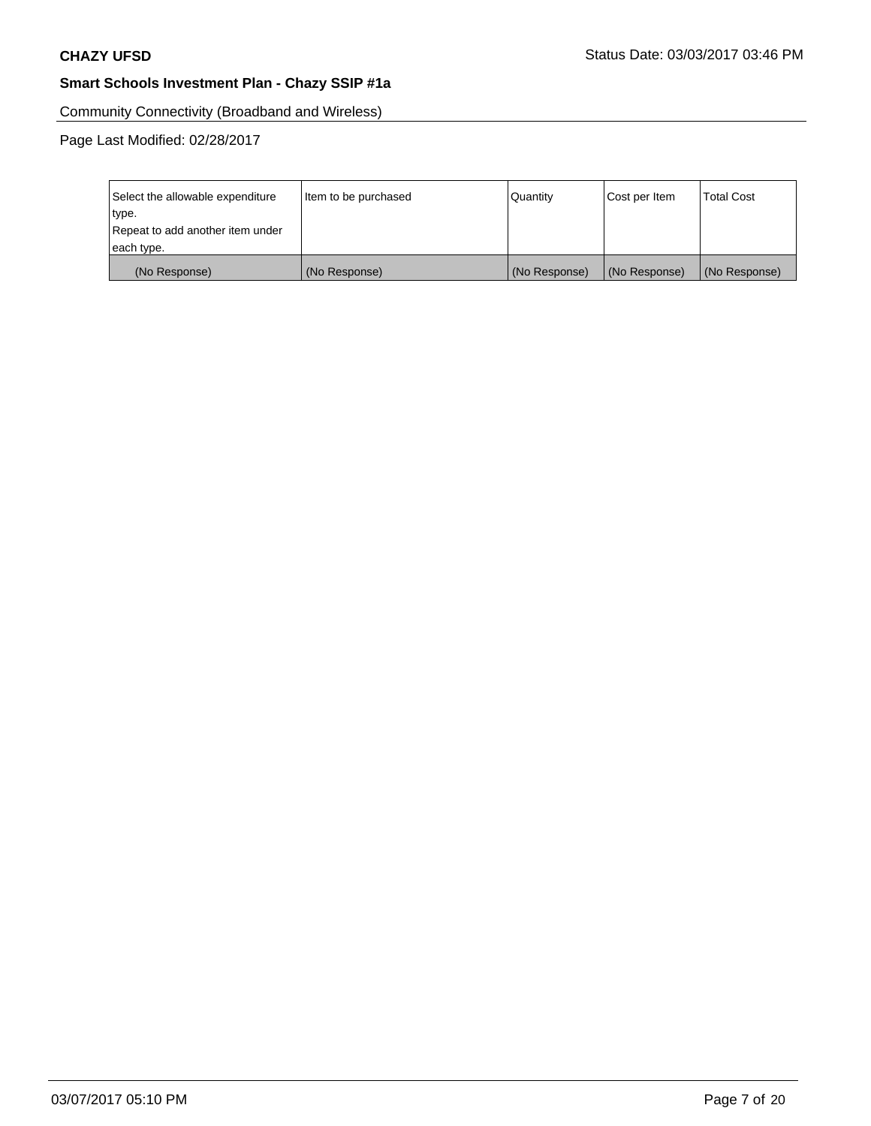Community Connectivity (Broadband and Wireless)

| Select the allowable expenditure | Item to be purchased | Quantity      | Cost per Item | <b>Total Cost</b> |
|----------------------------------|----------------------|---------------|---------------|-------------------|
| type.                            |                      |               |               |                   |
| Repeat to add another item under |                      |               |               |                   |
| each type.                       |                      |               |               |                   |
| (No Response)                    | (No Response)        | (No Response) | (No Response) | (No Response)     |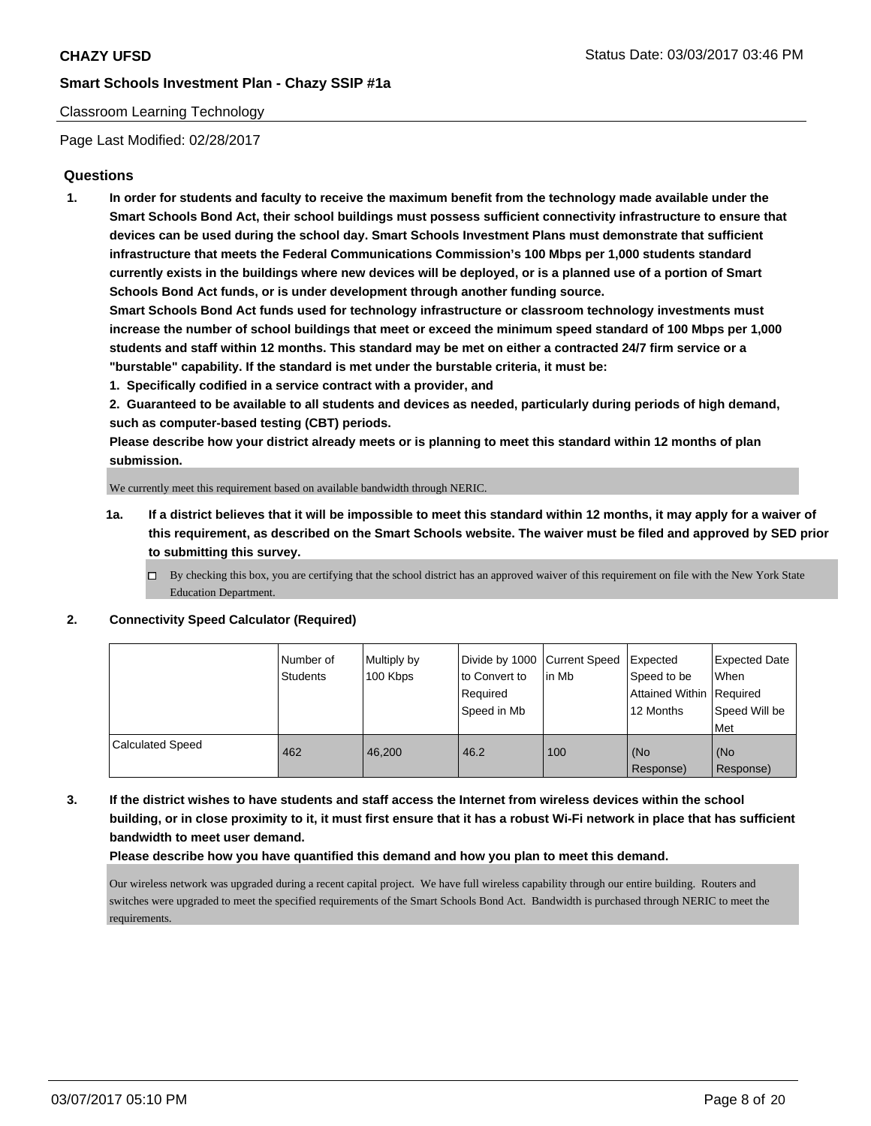# Classroom Learning Technology

Page Last Modified: 02/28/2017

# **Questions**

**1. In order for students and faculty to receive the maximum benefit from the technology made available under the Smart Schools Bond Act, their school buildings must possess sufficient connectivity infrastructure to ensure that devices can be used during the school day. Smart Schools Investment Plans must demonstrate that sufficient infrastructure that meets the Federal Communications Commission's 100 Mbps per 1,000 students standard currently exists in the buildings where new devices will be deployed, or is a planned use of a portion of Smart Schools Bond Act funds, or is under development through another funding source.**

**Smart Schools Bond Act funds used for technology infrastructure or classroom technology investments must increase the number of school buildings that meet or exceed the minimum speed standard of 100 Mbps per 1,000 students and staff within 12 months. This standard may be met on either a contracted 24/7 firm service or a "burstable" capability. If the standard is met under the burstable criteria, it must be:**

**1. Specifically codified in a service contract with a provider, and**

**2. Guaranteed to be available to all students and devices as needed, particularly during periods of high demand, such as computer-based testing (CBT) periods.**

**Please describe how your district already meets or is planning to meet this standard within 12 months of plan submission.**

We currently meet this requirement based on available bandwidth through NERIC.

- **1a. If a district believes that it will be impossible to meet this standard within 12 months, it may apply for a waiver of this requirement, as described on the Smart Schools website. The waiver must be filed and approved by SED prior to submitting this survey.**
	- $\Box$  By checking this box, you are certifying that the school district has an approved waiver of this requirement on file with the New York State Education Department.

#### **2. Connectivity Speed Calculator (Required)**

|                         | Number of<br>Students | Multiply by<br>100 Kbps | Divide by 1000 Current Speed<br>to Convert to<br>Required<br>Speed in Mb | lin Mb | Expected<br>Speed to be<br><b>Attained Within Required</b><br>12 Months | <b>Expected Date</b><br>When<br>Speed Will be<br>Met |
|-------------------------|-----------------------|-------------------------|--------------------------------------------------------------------------|--------|-------------------------------------------------------------------------|------------------------------------------------------|
| <b>Calculated Speed</b> | 462                   | 46.200                  | 46.2                                                                     | 100    | (No<br>Response)                                                        | (No<br>Response)                                     |

**3. If the district wishes to have students and staff access the Internet from wireless devices within the school building, or in close proximity to it, it must first ensure that it has a robust Wi-Fi network in place that has sufficient bandwidth to meet user demand.**

#### **Please describe how you have quantified this demand and how you plan to meet this demand.**

Our wireless network was upgraded during a recent capital project. We have full wireless capability through our entire building. Routers and switches were upgraded to meet the specified requirements of the Smart Schools Bond Act. Bandwidth is purchased through NERIC to meet the requirements.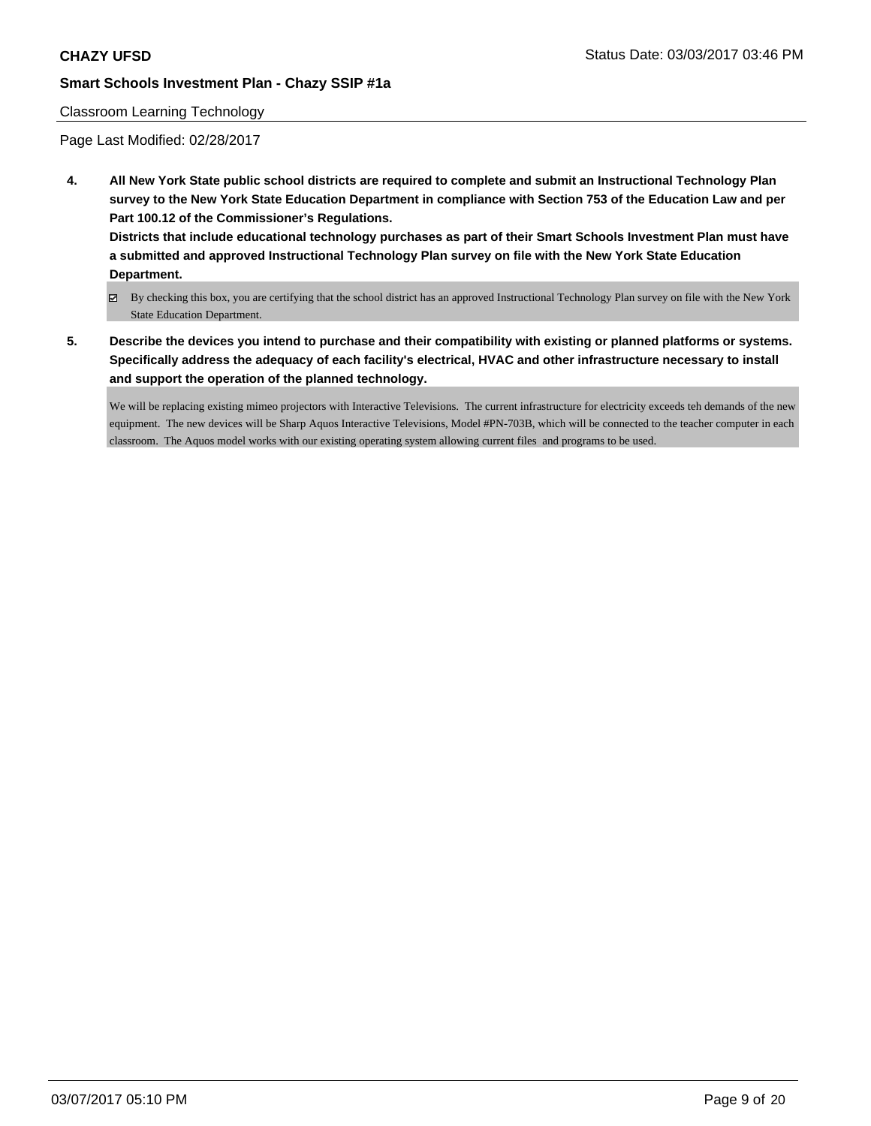#### Classroom Learning Technology

Page Last Modified: 02/28/2017

**4. All New York State public school districts are required to complete and submit an Instructional Technology Plan survey to the New York State Education Department in compliance with Section 753 of the Education Law and per Part 100.12 of the Commissioner's Regulations.**

**Districts that include educational technology purchases as part of their Smart Schools Investment Plan must have a submitted and approved Instructional Technology Plan survey on file with the New York State Education Department.**

- By checking this box, you are certifying that the school district has an approved Instructional Technology Plan survey on file with the New York State Education Department.
- **5. Describe the devices you intend to purchase and their compatibility with existing or planned platforms or systems. Specifically address the adequacy of each facility's electrical, HVAC and other infrastructure necessary to install and support the operation of the planned technology.**

We will be replacing existing mimeo projectors with Interactive Televisions. The current infrastructure for electricity exceeds teh demands of the new equipment. The new devices will be Sharp Aquos Interactive Televisions, Model #PN-703B, which will be connected to the teacher computer in each classroom. The Aquos model works with our existing operating system allowing current files and programs to be used.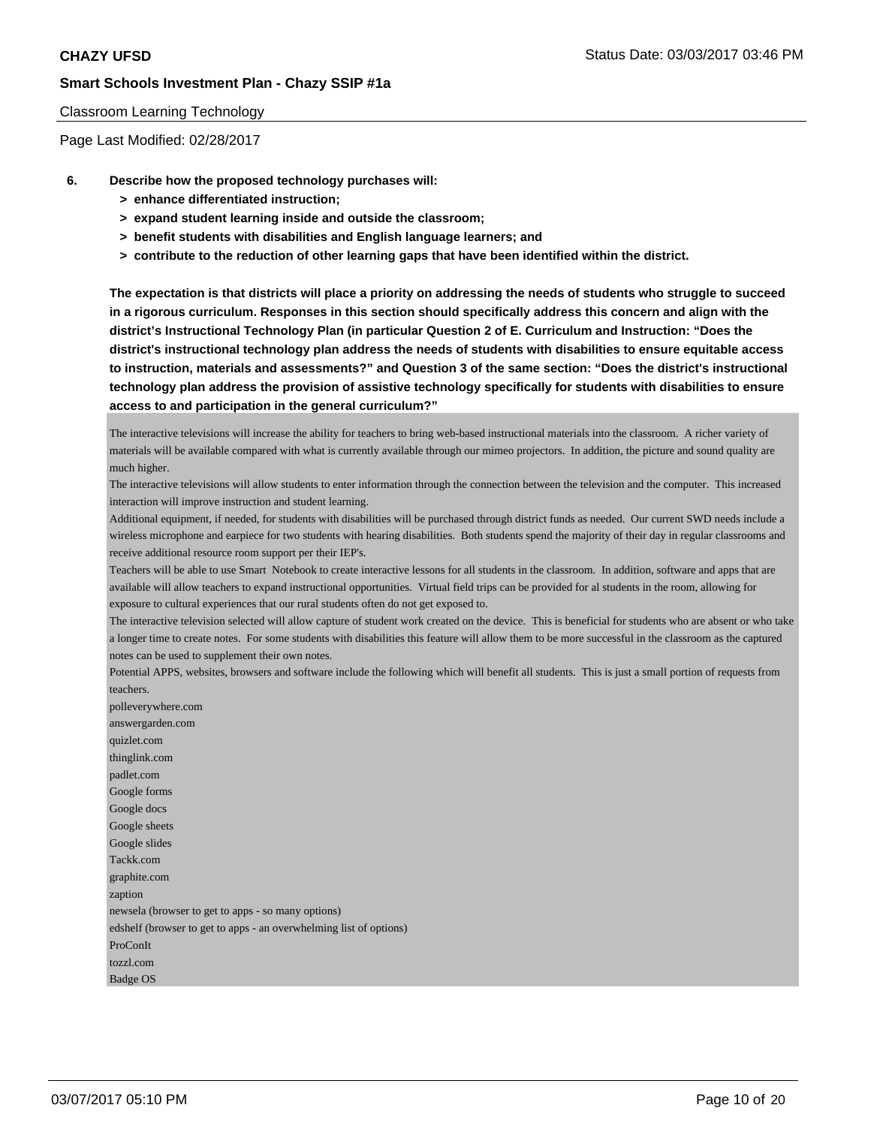#### Classroom Learning Technology

Page Last Modified: 02/28/2017

- **6. Describe how the proposed technology purchases will:**
	- **> enhance differentiated instruction;**
	- **> expand student learning inside and outside the classroom;**
	- **> benefit students with disabilities and English language learners; and**
	- **> contribute to the reduction of other learning gaps that have been identified within the district.**

**The expectation is that districts will place a priority on addressing the needs of students who struggle to succeed in a rigorous curriculum. Responses in this section should specifically address this concern and align with the district's Instructional Technology Plan (in particular Question 2 of E. Curriculum and Instruction: "Does the district's instructional technology plan address the needs of students with disabilities to ensure equitable access to instruction, materials and assessments?" and Question 3 of the same section: "Does the district's instructional technology plan address the provision of assistive technology specifically for students with disabilities to ensure access to and participation in the general curriculum?"**

The interactive televisions will increase the ability for teachers to bring web-based instructional materials into the classroom. A richer variety of materials will be available compared with what is currently available through our mimeo projectors. In addition, the picture and sound quality are much higher.

The interactive televisions will allow students to enter information through the connection between the television and the computer. This increased interaction will improve instruction and student learning.

Additional equipment, if needed, for students with disabilities will be purchased through district funds as needed. Our current SWD needs include a wireless microphone and earpiece for two students with hearing disabilities. Both students spend the majority of their day in regular classrooms and receive additional resource room support per their IEP's.

Teachers will be able to use Smart Notebook to create interactive lessons for all students in the classroom. In addition, software and apps that are available will allow teachers to expand instructional opportunities. Virtual field trips can be provided for al students in the room, allowing for exposure to cultural experiences that our rural students often do not get exposed to.

The interactive television selected will allow capture of student work created on the device. This is beneficial for students who are absent or who take a longer time to create notes. For some students with disabilities this feature will allow them to be more successful in the classroom as the captured notes can be used to supplement their own notes.

Potential APPS, websites, browsers and software include the following which will benefit all students. This is just a small portion of requests from teachers.

polleverywhere.com answergarden.com quizlet.com thinglink.com padlet.com Google forms Google docs Google sheets Google slides Tackk.com graphite.com zaption newsela (browser to get to apps - so many options) edshelf (browser to get to apps - an overwhelming list of options) ProConIt tozzl.com Badge OS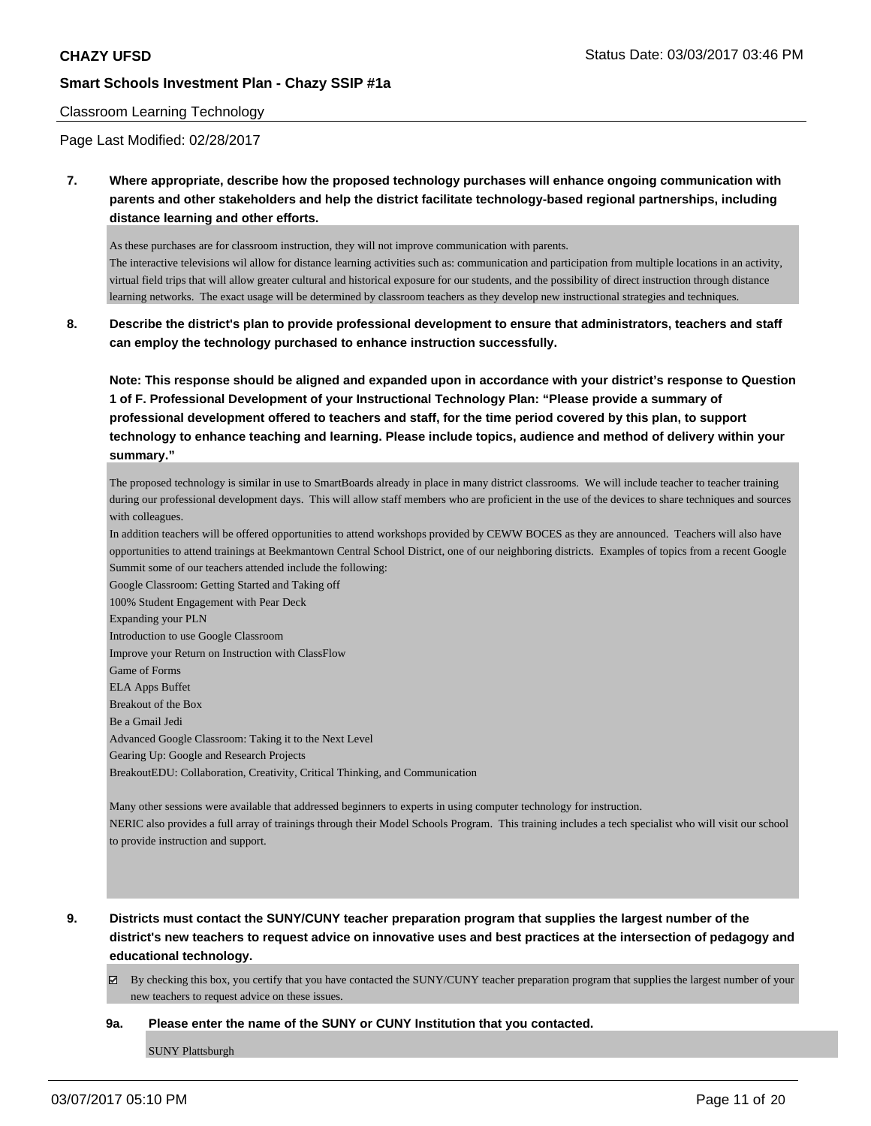#### Classroom Learning Technology

Page Last Modified: 02/28/2017

**7. Where appropriate, describe how the proposed technology purchases will enhance ongoing communication with parents and other stakeholders and help the district facilitate technology-based regional partnerships, including distance learning and other efforts.**

As these purchases are for classroom instruction, they will not improve communication with parents. The interactive televisions wil allow for distance learning activities such as: communication and participation from multiple locations in an activity, virtual field trips that will allow greater cultural and historical exposure for our students, and the possibility of direct instruction through distance learning networks. The exact usage will be determined by classroom teachers as they develop new instructional strategies and techniques.

**8. Describe the district's plan to provide professional development to ensure that administrators, teachers and staff can employ the technology purchased to enhance instruction successfully.**

**Note: This response should be aligned and expanded upon in accordance with your district's response to Question 1 of F. Professional Development of your Instructional Technology Plan: "Please provide a summary of professional development offered to teachers and staff, for the time period covered by this plan, to support technology to enhance teaching and learning. Please include topics, audience and method of delivery within your summary."**

The proposed technology is similar in use to SmartBoards already in place in many district classrooms. We will include teacher to teacher training during our professional development days. This will allow staff members who are proficient in the use of the devices to share techniques and sources with colleagues.

In addition teachers will be offered opportunities to attend workshops provided by CEWW BOCES as they are announced. Teachers will also have opportunities to attend trainings at Beekmantown Central School District, one of our neighboring districts. Examples of topics from a recent Google Summit some of our teachers attended include the following:

Google Classroom: Getting Started and Taking off 100% Student Engagement with Pear Deck Expanding your PLN Introduction to use Google Classroom Improve your Return on Instruction with ClassFlow Game of Forms ELA Apps Buffet Breakout of the Box Be a Gmail Jedi Advanced Google Classroom: Taking it to the Next Level Gearing Up: Google and Research Projects BreakoutEDU: Collaboration, Creativity, Critical Thinking, and Communication

Many other sessions were available that addressed beginners to experts in using computer technology for instruction. NERIC also provides a full array of trainings through their Model Schools Program. This training includes a tech specialist who will visit our school to provide instruction and support.

**9. Districts must contact the SUNY/CUNY teacher preparation program that supplies the largest number of the district's new teachers to request advice on innovative uses and best practices at the intersection of pedagogy and educational technology.**

 $\boxtimes$  By checking this box, you certify that you have contacted the SUNY/CUNY teacher preparation program that supplies the largest number of your new teachers to request advice on these issues.

#### **9a. Please enter the name of the SUNY or CUNY Institution that you contacted.**

SUNY Plattsburgh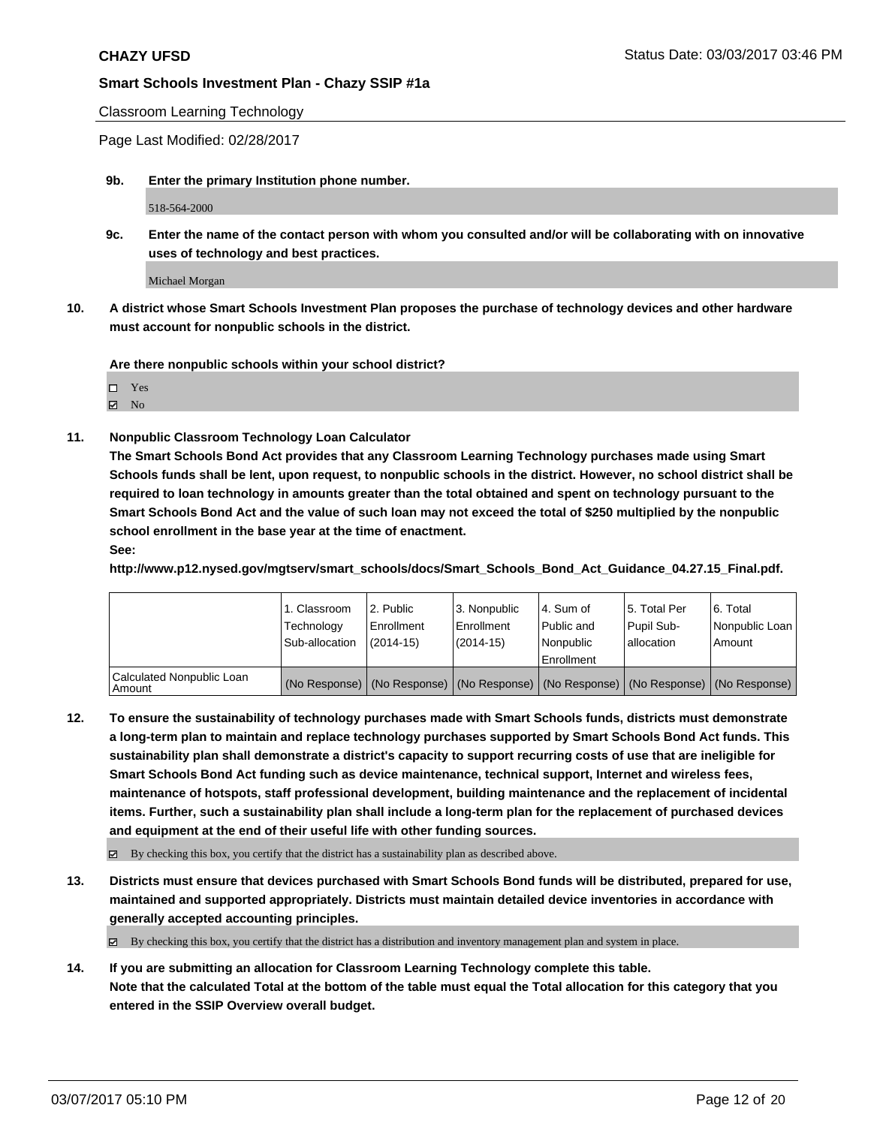Classroom Learning Technology

Page Last Modified: 02/28/2017

**9b. Enter the primary Institution phone number.**

518-564-2000

**9c. Enter the name of the contact person with whom you consulted and/or will be collaborating with on innovative uses of technology and best practices.**

Michael Morgan

**10. A district whose Smart Schools Investment Plan proposes the purchase of technology devices and other hardware must account for nonpublic schools in the district.**

**Are there nonpublic schools within your school district?**

Yes

 $\boxtimes$  No

**11. Nonpublic Classroom Technology Loan Calculator**

**The Smart Schools Bond Act provides that any Classroom Learning Technology purchases made using Smart Schools funds shall be lent, upon request, to nonpublic schools in the district. However, no school district shall be required to loan technology in amounts greater than the total obtained and spent on technology pursuant to the Smart Schools Bond Act and the value of such loan may not exceed the total of \$250 multiplied by the nonpublic school enrollment in the base year at the time of enactment.**

**See:**

**http://www.p12.nysed.gov/mgtserv/smart\_schools/docs/Smart\_Schools\_Bond\_Act\_Guidance\_04.27.15\_Final.pdf.**

|                                       | 1. Classroom<br>Technology<br>Sub-allocation | 2. Public<br>l Enrollment<br>$(2014 - 15)$ | 3. Nonpublic<br>Enrollment<br>$(2014-15)$ | l 4. Sum of<br>l Public and<br>l Nonpublic<br>l Enrollment | 15. Total Per<br>Pupil Sub-<br>lallocation                                                    | l 6. Total<br>Nonpublic Loan<br>Amount |
|---------------------------------------|----------------------------------------------|--------------------------------------------|-------------------------------------------|------------------------------------------------------------|-----------------------------------------------------------------------------------------------|----------------------------------------|
| Calculated Nonpublic Loan<br>l Amount |                                              |                                            |                                           |                                                            | (No Response)   (No Response)   (No Response)   (No Response)   (No Response)   (No Response) |                                        |

**12. To ensure the sustainability of technology purchases made with Smart Schools funds, districts must demonstrate a long-term plan to maintain and replace technology purchases supported by Smart Schools Bond Act funds. This sustainability plan shall demonstrate a district's capacity to support recurring costs of use that are ineligible for Smart Schools Bond Act funding such as device maintenance, technical support, Internet and wireless fees, maintenance of hotspots, staff professional development, building maintenance and the replacement of incidental items. Further, such a sustainability plan shall include a long-term plan for the replacement of purchased devices and equipment at the end of their useful life with other funding sources.**

 $\boxtimes$  By checking this box, you certify that the district has a sustainability plan as described above.

**13. Districts must ensure that devices purchased with Smart Schools Bond funds will be distributed, prepared for use, maintained and supported appropriately. Districts must maintain detailed device inventories in accordance with generally accepted accounting principles.**

 $\boxtimes$  By checking this box, you certify that the district has a distribution and inventory management plan and system in place.

**14. If you are submitting an allocation for Classroom Learning Technology complete this table. Note that the calculated Total at the bottom of the table must equal the Total allocation for this category that you entered in the SSIP Overview overall budget.**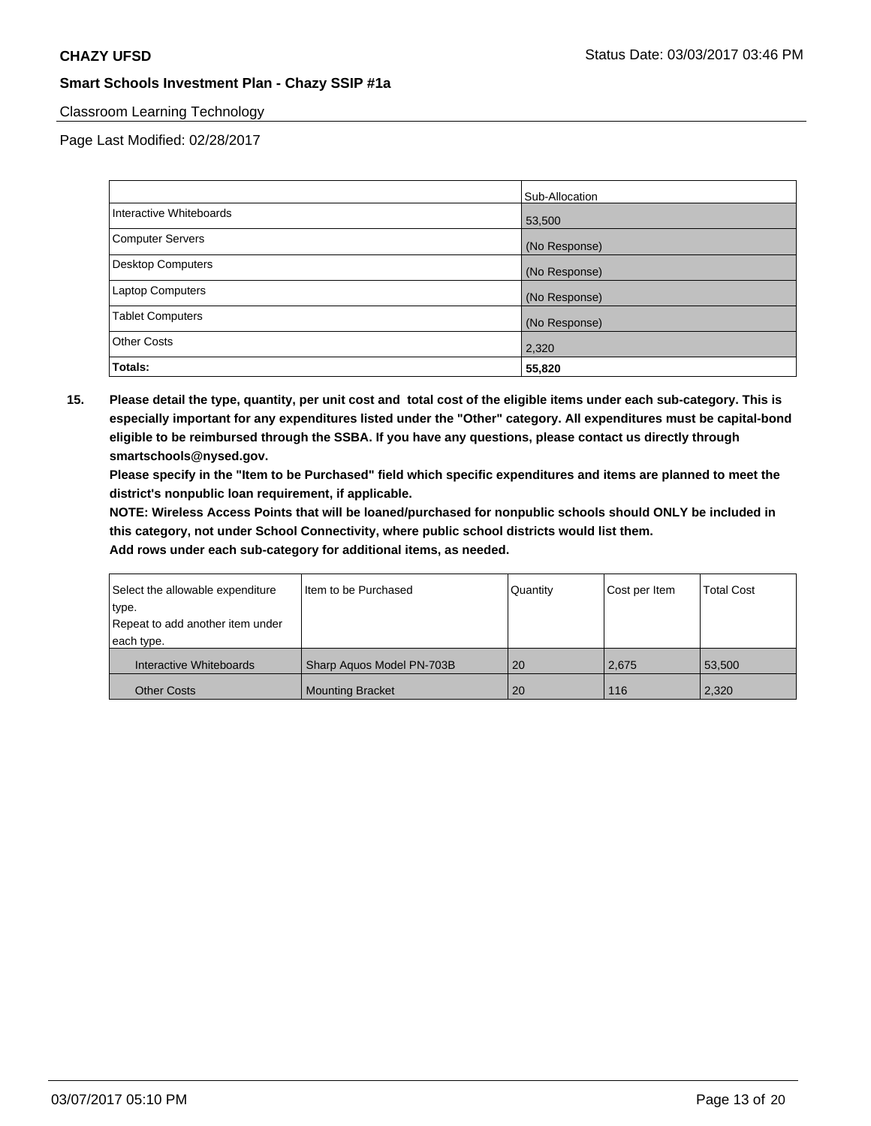# Classroom Learning Technology

Page Last Modified: 02/28/2017

|                         | Sub-Allocation |
|-------------------------|----------------|
| Interactive Whiteboards | 53,500         |
| Computer Servers        | (No Response)  |
| Desktop Computers       | (No Response)  |
| Laptop Computers        | (No Response)  |
| <b>Tablet Computers</b> | (No Response)  |
| <b>Other Costs</b>      | 2,320          |
| Totals:                 | 55,820         |

**15. Please detail the type, quantity, per unit cost and total cost of the eligible items under each sub-category. This is especially important for any expenditures listed under the "Other" category. All expenditures must be capital-bond eligible to be reimbursed through the SSBA. If you have any questions, please contact us directly through smartschools@nysed.gov.**

**Please specify in the "Item to be Purchased" field which specific expenditures and items are planned to meet the district's nonpublic loan requirement, if applicable.**

**NOTE: Wireless Access Points that will be loaned/purchased for nonpublic schools should ONLY be included in this category, not under School Connectivity, where public school districts would list them.**

| Select the allowable expenditure | Item to be Purchased      | Quantity | Cost per Item | <b>Total Cost</b> |
|----------------------------------|---------------------------|----------|---------------|-------------------|
| type.                            |                           |          |               |                   |
| Repeat to add another item under |                           |          |               |                   |
| each type.                       |                           |          |               |                   |
| Interactive Whiteboards          | Sharp Aquos Model PN-703B | 20       | 2,675         | 53.500            |
| <b>Other Costs</b>               | <b>Mounting Bracket</b>   | 20       | 116           | 2,320             |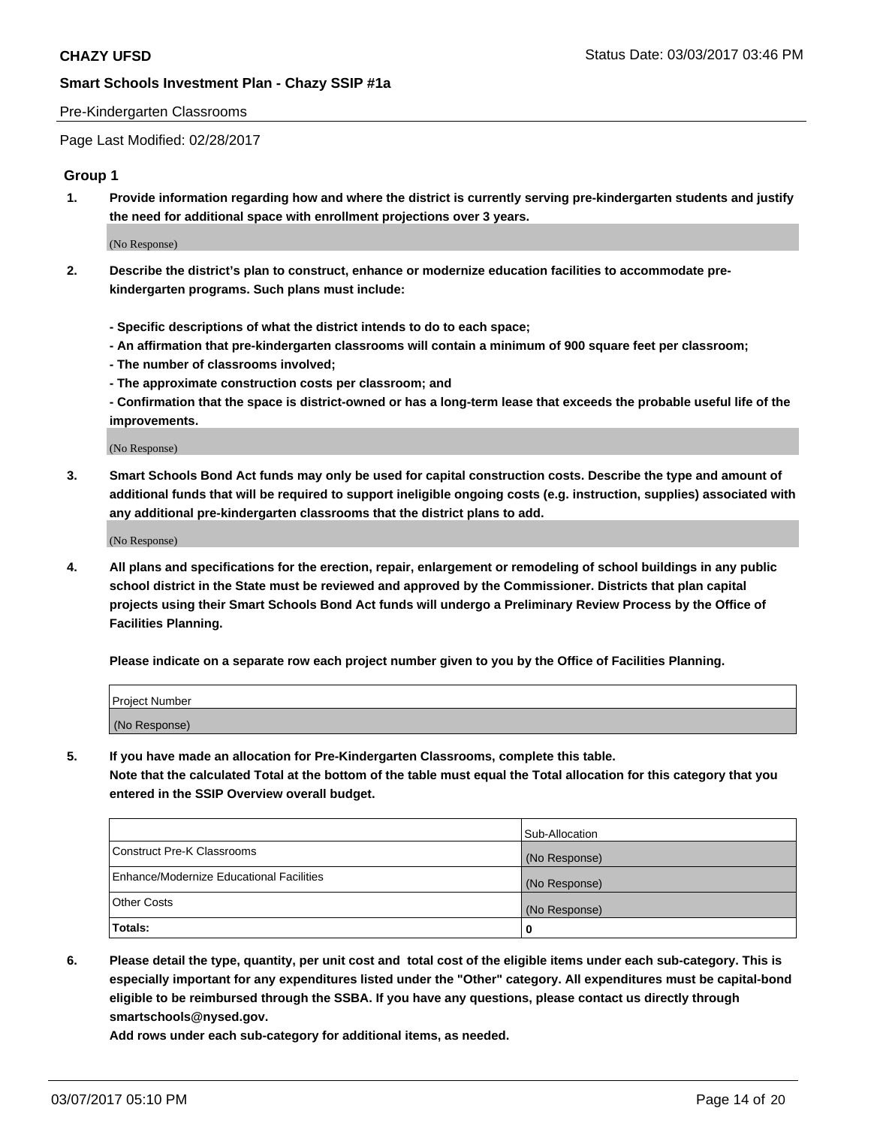#### Pre-Kindergarten Classrooms

Page Last Modified: 02/28/2017

## **Group 1**

**1. Provide information regarding how and where the district is currently serving pre-kindergarten students and justify the need for additional space with enrollment projections over 3 years.**

(No Response)

- **2. Describe the district's plan to construct, enhance or modernize education facilities to accommodate prekindergarten programs. Such plans must include:**
	- **Specific descriptions of what the district intends to do to each space;**
	- **An affirmation that pre-kindergarten classrooms will contain a minimum of 900 square feet per classroom;**
	- **The number of classrooms involved;**
	- **The approximate construction costs per classroom; and**
	- **Confirmation that the space is district-owned or has a long-term lease that exceeds the probable useful life of the improvements.**

(No Response)

**3. Smart Schools Bond Act funds may only be used for capital construction costs. Describe the type and amount of additional funds that will be required to support ineligible ongoing costs (e.g. instruction, supplies) associated with any additional pre-kindergarten classrooms that the district plans to add.**

(No Response)

**4. All plans and specifications for the erection, repair, enlargement or remodeling of school buildings in any public school district in the State must be reviewed and approved by the Commissioner. Districts that plan capital projects using their Smart Schools Bond Act funds will undergo a Preliminary Review Process by the Office of Facilities Planning.**

**Please indicate on a separate row each project number given to you by the Office of Facilities Planning.**

| Project Number |  |
|----------------|--|
| (No Response)  |  |

**5. If you have made an allocation for Pre-Kindergarten Classrooms, complete this table. Note that the calculated Total at the bottom of the table must equal the Total allocation for this category that you entered in the SSIP Overview overall budget.**

| Totals:                                  | 0              |
|------------------------------------------|----------------|
| Other Costs                              | (No Response)  |
| Enhance/Modernize Educational Facilities | (No Response)  |
| Construct Pre-K Classrooms               | (No Response)  |
|                                          | Sub-Allocation |

**6. Please detail the type, quantity, per unit cost and total cost of the eligible items under each sub-category. This is especially important for any expenditures listed under the "Other" category. All expenditures must be capital-bond eligible to be reimbursed through the SSBA. If you have any questions, please contact us directly through smartschools@nysed.gov.**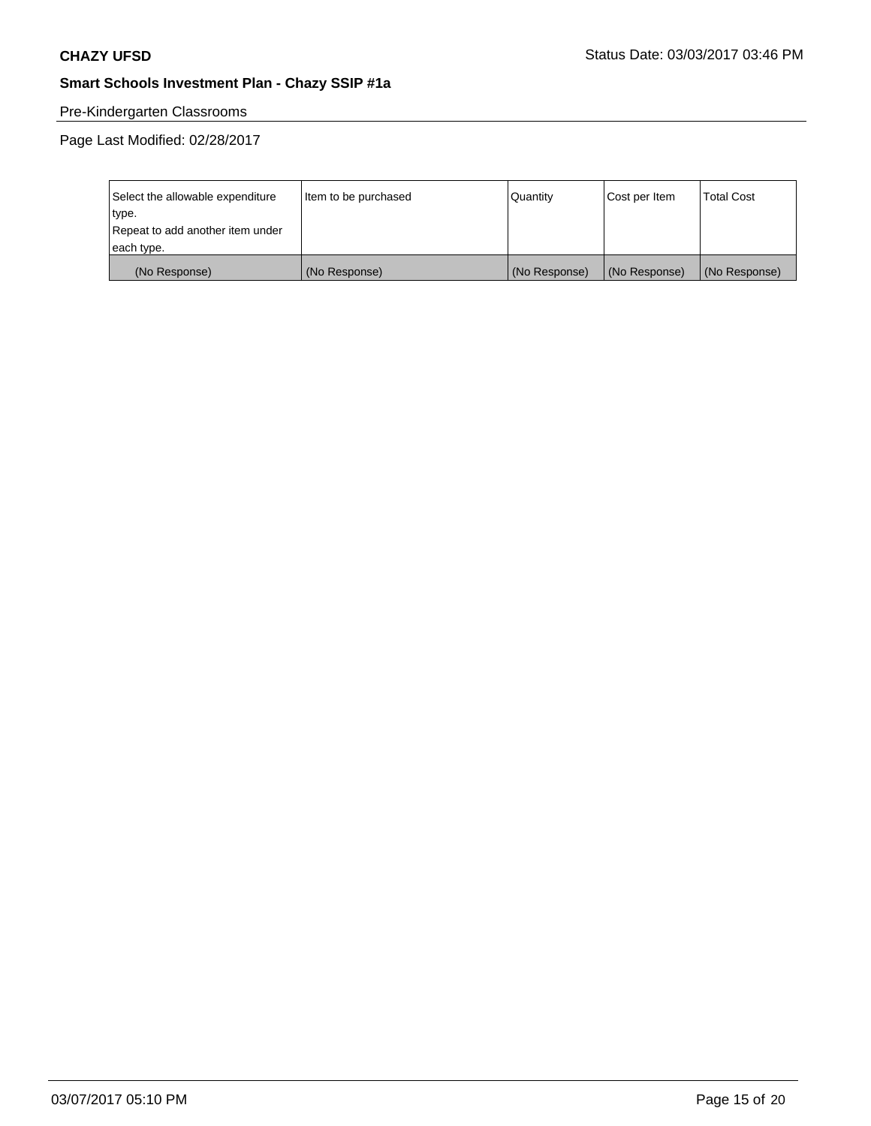# Pre-Kindergarten Classrooms

| Select the allowable expenditure | Item to be purchased | Quantity      | Cost per Item | <b>Total Cost</b> |
|----------------------------------|----------------------|---------------|---------------|-------------------|
| type.                            |                      |               |               |                   |
| Repeat to add another item under |                      |               |               |                   |
| each type.                       |                      |               |               |                   |
| (No Response)                    | (No Response)        | (No Response) | (No Response) | (No Response)     |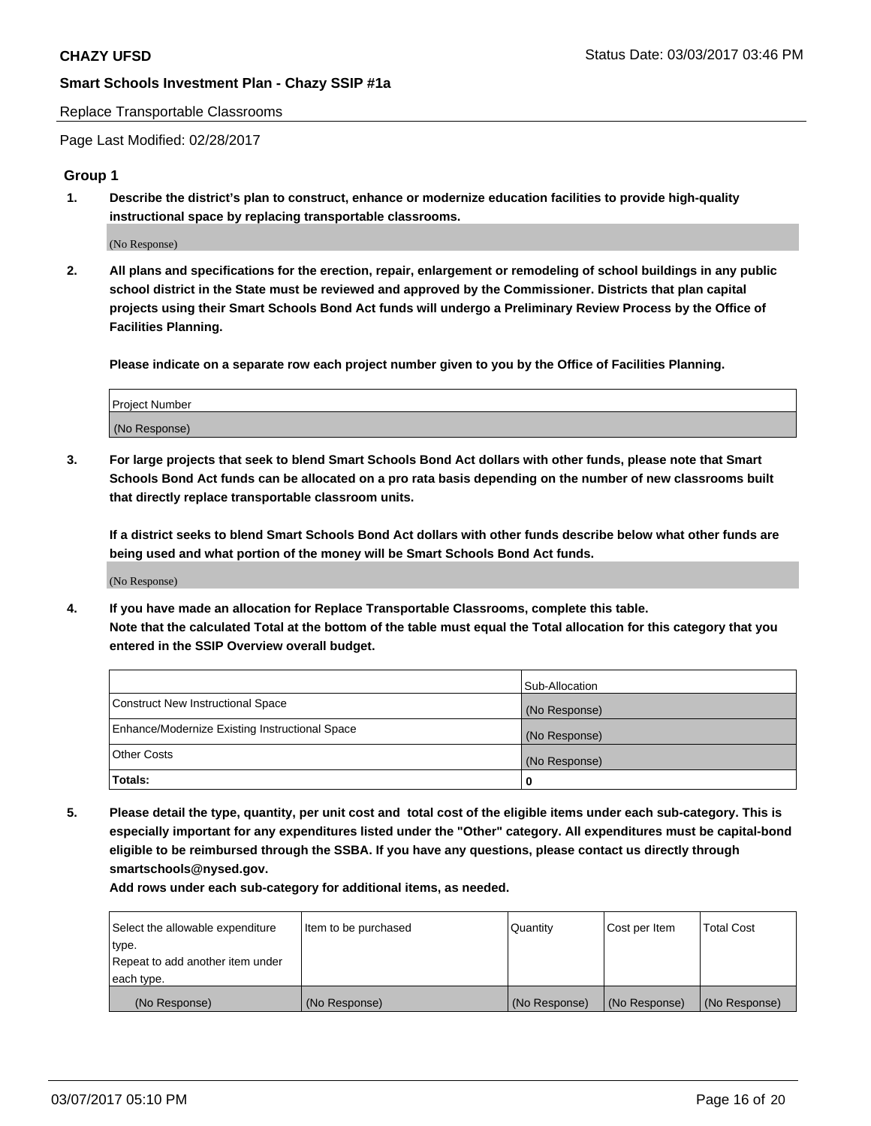#### Replace Transportable Classrooms

Page Last Modified: 02/28/2017

## **Group 1**

**1. Describe the district's plan to construct, enhance or modernize education facilities to provide high-quality instructional space by replacing transportable classrooms.**

(No Response)

**2. All plans and specifications for the erection, repair, enlargement or remodeling of school buildings in any public school district in the State must be reviewed and approved by the Commissioner. Districts that plan capital projects using their Smart Schools Bond Act funds will undergo a Preliminary Review Process by the Office of Facilities Planning.**

**Please indicate on a separate row each project number given to you by the Office of Facilities Planning.**

| Project Number |  |
|----------------|--|
| (No Response)  |  |

**3. For large projects that seek to blend Smart Schools Bond Act dollars with other funds, please note that Smart Schools Bond Act funds can be allocated on a pro rata basis depending on the number of new classrooms built that directly replace transportable classroom units.**

**If a district seeks to blend Smart Schools Bond Act dollars with other funds describe below what other funds are being used and what portion of the money will be Smart Schools Bond Act funds.**

(No Response)

**4. If you have made an allocation for Replace Transportable Classrooms, complete this table. Note that the calculated Total at the bottom of the table must equal the Total allocation for this category that you entered in the SSIP Overview overall budget.**

|                                                | Sub-Allocation |
|------------------------------------------------|----------------|
| Construct New Instructional Space              | (No Response)  |
| Enhance/Modernize Existing Instructional Space | (No Response)  |
| Other Costs                                    | (No Response)  |
| Totals:                                        | $\Omega$       |

**5. Please detail the type, quantity, per unit cost and total cost of the eligible items under each sub-category. This is especially important for any expenditures listed under the "Other" category. All expenditures must be capital-bond eligible to be reimbursed through the SSBA. If you have any questions, please contact us directly through smartschools@nysed.gov.**

| Select the allowable expenditure | Item to be purchased | Quantity      | Cost per Item | <b>Total Cost</b> |
|----------------------------------|----------------------|---------------|---------------|-------------------|
| type.                            |                      |               |               |                   |
| Repeat to add another item under |                      |               |               |                   |
| each type.                       |                      |               |               |                   |
| (No Response)                    | (No Response)        | (No Response) | (No Response) | (No Response)     |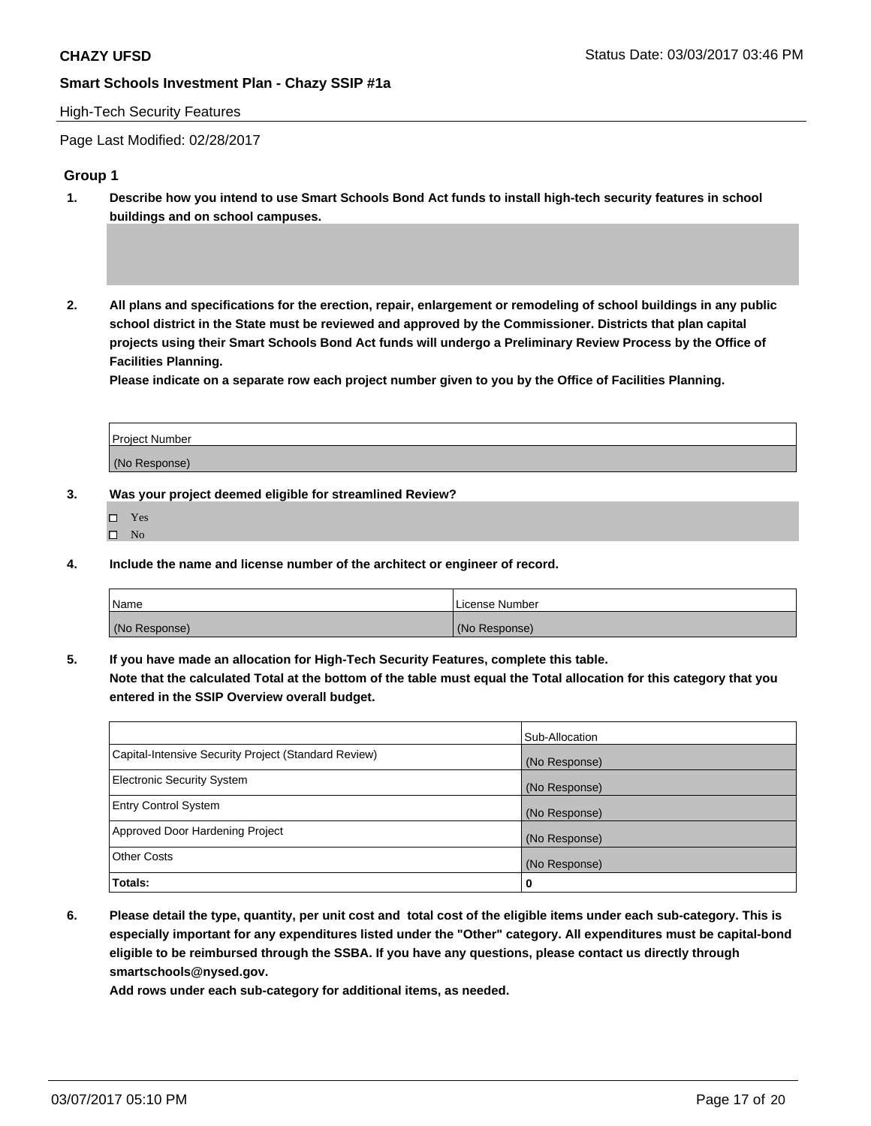#### High-Tech Security Features

Page Last Modified: 02/28/2017

## **Group 1**

- **1. Describe how you intend to use Smart Schools Bond Act funds to install high-tech security features in school buildings and on school campuses.**
- **2. All plans and specifications for the erection, repair, enlargement or remodeling of school buildings in any public school district in the State must be reviewed and approved by the Commissioner. Districts that plan capital projects using their Smart Schools Bond Act funds will undergo a Preliminary Review Process by the Office of Facilities Planning.**

**Please indicate on a separate row each project number given to you by the Office of Facilities Planning.**

| Project Number |  |
|----------------|--|
| (No Response)  |  |

**3. Was your project deemed eligible for streamlined Review?**

- Yes
- $\square$  No

**4. Include the name and license number of the architect or engineer of record.**

| Name          | . License Number |
|---------------|------------------|
| (No Response) | (No Response)    |

**5. If you have made an allocation for High-Tech Security Features, complete this table.**

**Note that the calculated Total at the bottom of the table must equal the Total allocation for this category that you entered in the SSIP Overview overall budget.**

|                                                      | Sub-Allocation |
|------------------------------------------------------|----------------|
| Capital-Intensive Security Project (Standard Review) | (No Response)  |
| <b>Electronic Security System</b>                    | (No Response)  |
| <b>Entry Control System</b>                          | (No Response)  |
| Approved Door Hardening Project                      | (No Response)  |
| <b>Other Costs</b>                                   | (No Response)  |
| Totals:                                              | 0              |

**6. Please detail the type, quantity, per unit cost and total cost of the eligible items under each sub-category. This is especially important for any expenditures listed under the "Other" category. All expenditures must be capital-bond eligible to be reimbursed through the SSBA. If you have any questions, please contact us directly through smartschools@nysed.gov.**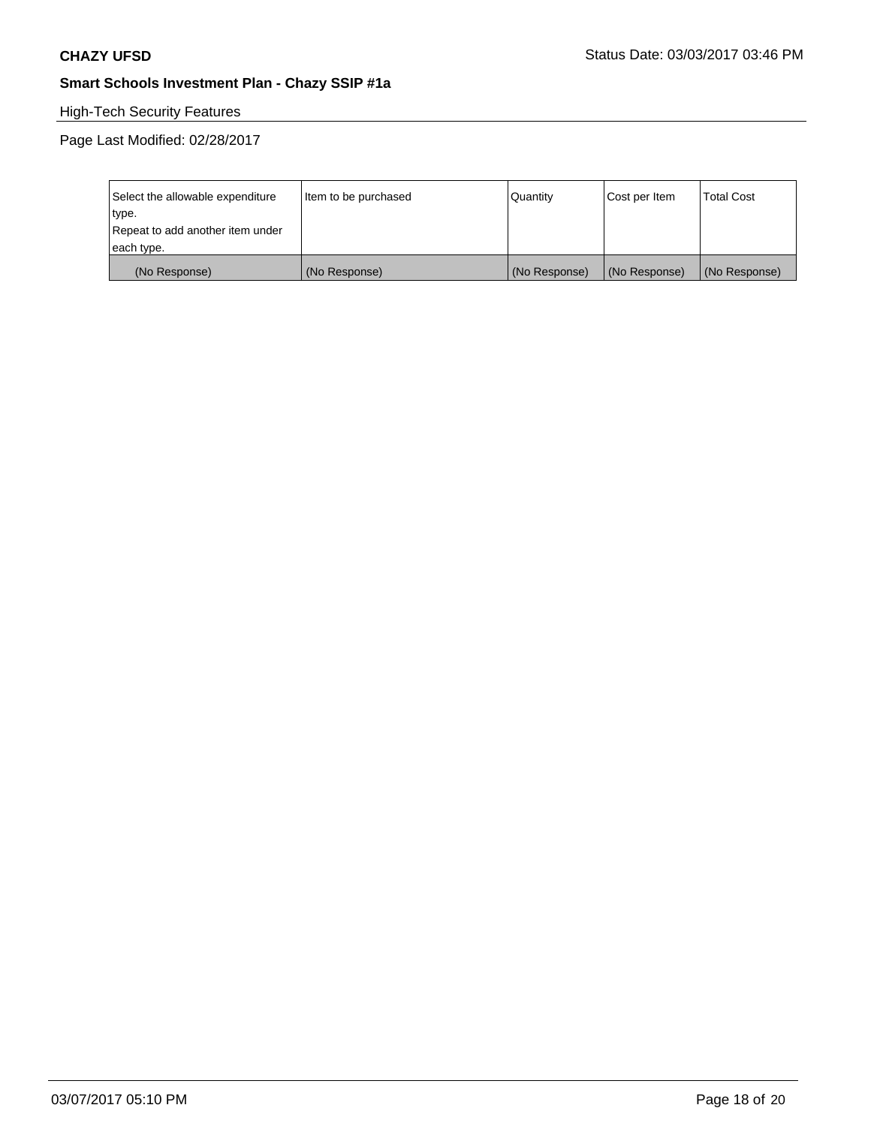# High-Tech Security Features

| Select the allowable expenditure | Item to be purchased | Quantity      | Cost per Item | <b>Total Cost</b> |
|----------------------------------|----------------------|---------------|---------------|-------------------|
| type.                            |                      |               |               |                   |
| Repeat to add another item under |                      |               |               |                   |
| each type.                       |                      |               |               |                   |
| (No Response)                    | (No Response)        | (No Response) | (No Response) | (No Response)     |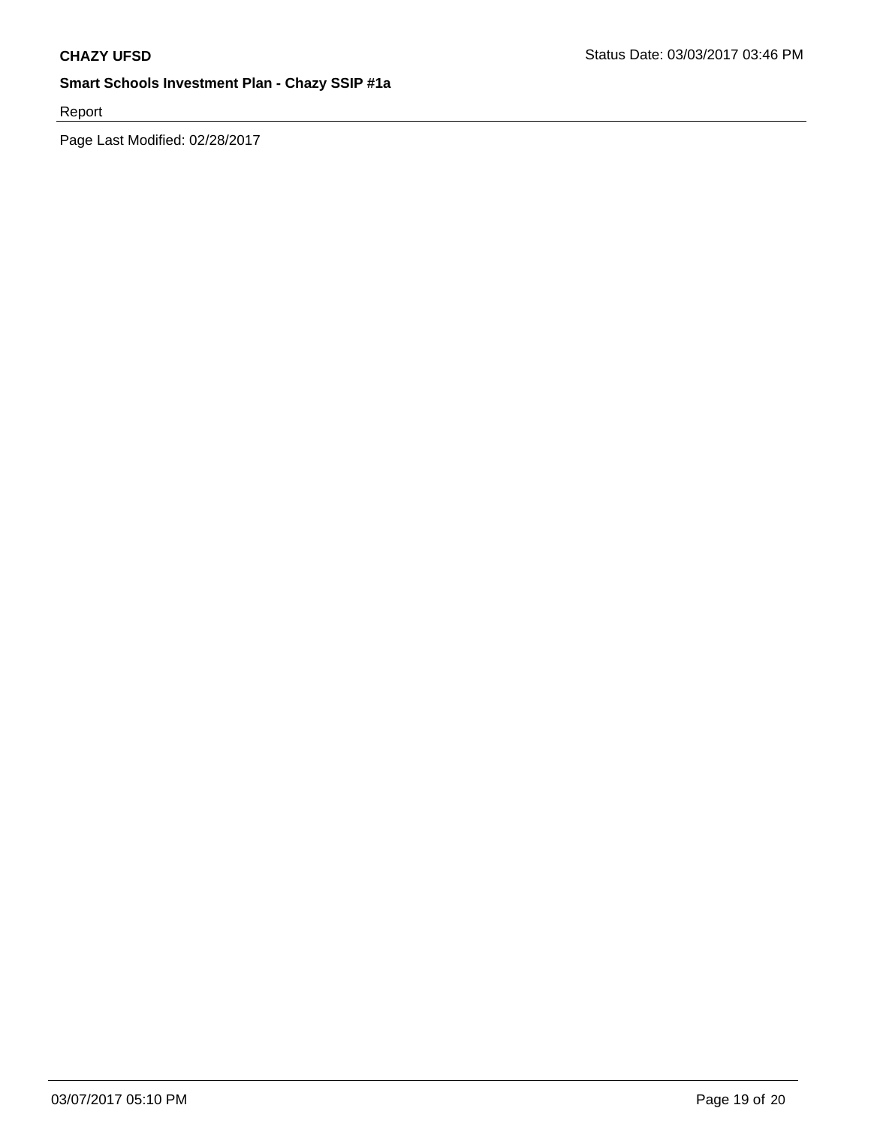Report